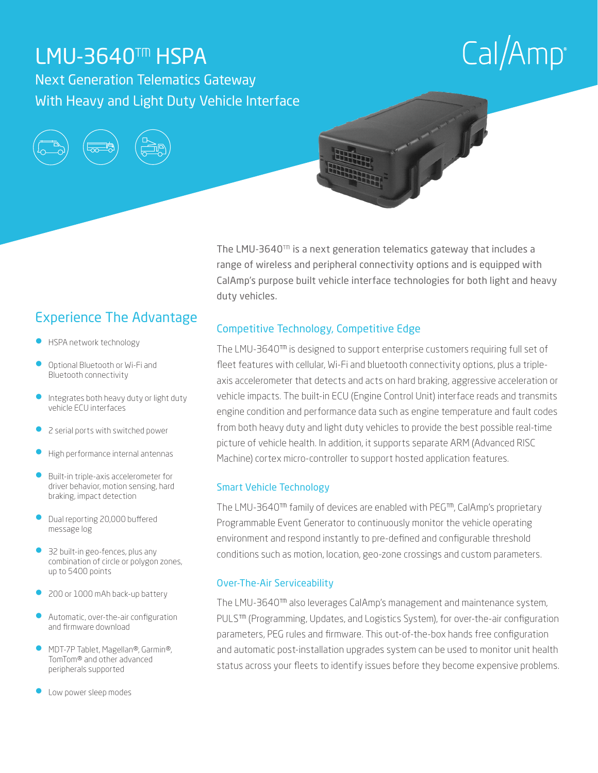## LMU-3640™ HSPA

Next Generation Telematics Gateway With Heavy and Light Duty Vehicle Interface

# $Cal/Amp^*$





### Experience The Advantage

- HSPA network technology
- Optional Bluetooth or Wi-Fi and Bluetooth connectivity
- Integrates both heavy duty or light duty vehicle ECU interfaces
- 2 serial ports with switched power
- High performance internal antennas
- Built-in triple-axis accelerometer for driver behavior, motion sensing, hard braking, impact detection
- Dual reporting 20,000 buffered message log
- 32 built-in geo-fences, plus any combination of circle or polygon zones, up to 5400 points
- 200 or 1000 mAh back-up battery
- Automatic, over-the-air configuration and firmware download
- MDT-7P Tablet, Magellan®, Garmin®, TomTom® and other advanced peripherals supported
- Low power sleep modes

The LMU-3640™ is a next generation telematics gateway that includes a range of wireless and peripheral connectivity options and is equipped with CalAmp's purpose built vehicle interface technologies for both light and heavy duty vehicles.

#### Competitive Technology, Competitive Edge

The LMU-3640™ is designed to support enterprise customers requiring full set of fleet features with cellular, Wi-Fi and bluetooth connectivity options, plus a tripleaxis accelerometer that detects and acts on hard braking, aggressive acceleration or vehicle impacts. The built-in ECU (Engine Control Unit) interface reads and transmits engine condition and performance data such as engine temperature and fault codes from both heavy duty and light duty vehicles to provide the best possible real-time picture of vehicle health. In addition, it supports separate ARM (Advanced RISC Machine) cortex micro-controller to support hosted application features.

#### Smart Vehicle Technology

The LMU-3640™ family of devices are enabled with PEG™, CalAmp's proprietary Programmable Event Generator to continuously monitor the vehicle operating environment and respond instantly to pre-defined and configurable threshold conditions such as motion, location, geo-zone crossings and custom parameters.

#### Over-The-Air Serviceability

The LMU-3640™ also leverages CalAmp's management and maintenance system, PULS<sup>™</sup> (Programming, Updates, and Logistics System), for over-the-air configuration parameters, PEG rules and firmware. This out-of-the-box hands free configuration and automatic post-installation upgrades system can be used to monitor unit health status across your fleets to identify issues before they become expensive problems.